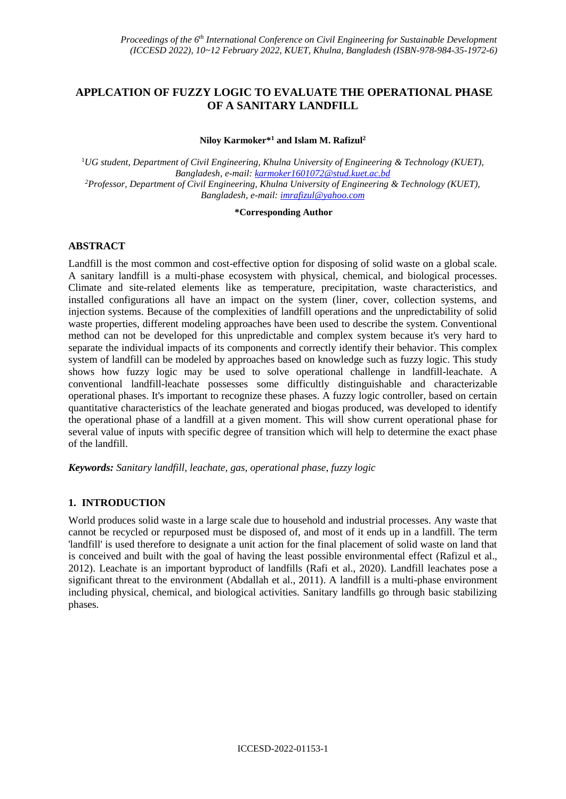# **APPLCATION OF FUZZY LOGIC TO EVALUATE THE OPERATIONAL PHASE OF A SANITARY LANDFILL**

**Niloy Karmoker\* <sup>1</sup> and Islam M. Rafizul<sup>2</sup>**

<sup>1</sup>*UG student, Department of Civil Engineering, Khulna University of Engineering & Technology (KUET), Bangladesh, e-mail: karmoker1601072@stud.kuet.ac.bd <sup>2</sup>Professor, Department of Civil Engineering, Khulna University of Engineering & Technology (KUET), Bangladesh, e-mail: [imrafizul@yahoo.com](mailto:imrafizul@yahoo.com)*

#### **\*Corresponding Author**

# **ABSTRACT**

Landfill is the most common and cost-effective option for disposing of solid waste on a global scale. A sanitary landfill is a multi-phase ecosystem with physical, chemical, and biological processes. Climate and site-related elements like as temperature, precipitation, waste characteristics, and installed configurations all have an impact on the system (liner, cover, collection systems, and injection systems. Because of the complexities of landfill operations and the unpredictability of solid waste properties, different modeling approaches have been used to describe the system. Conventional method can not be developed for this unpredictable and complex system because it's very hard to separate the individual impacts of its components and correctly identify their behavior. This complex system of landfill can be modeled by approaches based on knowledge such as fuzzy logic. This study shows how fuzzy logic may be used to solve operational challenge in landfill-leachate. A conventional landfill-leachate possesses some difficultly distinguishable and characterizable operational phases. It's important to recognize these phases. A fuzzy logic controller, based on certain quantitative characteristics of the leachate generated and biogas produced, was developed to identify the operational phase of a landfill at a given moment. This will show current operational phase for several value of inputs with specific degree of transition which will help to determine the exact phase of the landfill.

*Keywords: Sanitary landfill, leachate, gas, operational phase, fuzzy logic*

## **1. INTRODUCTION**

World produces solid waste in a large scale due to household and industrial processes. Any waste that cannot be recycled or repurposed must be disposed of, and most of it ends up in a landfill. The term 'landfill' is used therefore to designate a unit action for the final placement of solid waste on land that is conceived and built with the goal of having the least possible environmental effect (Rafizul et al., 2012). Leachate is an important byproduct of landfills (Rafi et al., 2020). Landfill leachates pose a significant threat to the environment (Abdallah et al., 2011). A landfill is a multi-phase environment including physical, chemical, and biological activities. Sanitary landfills go through basic stabilizing phases.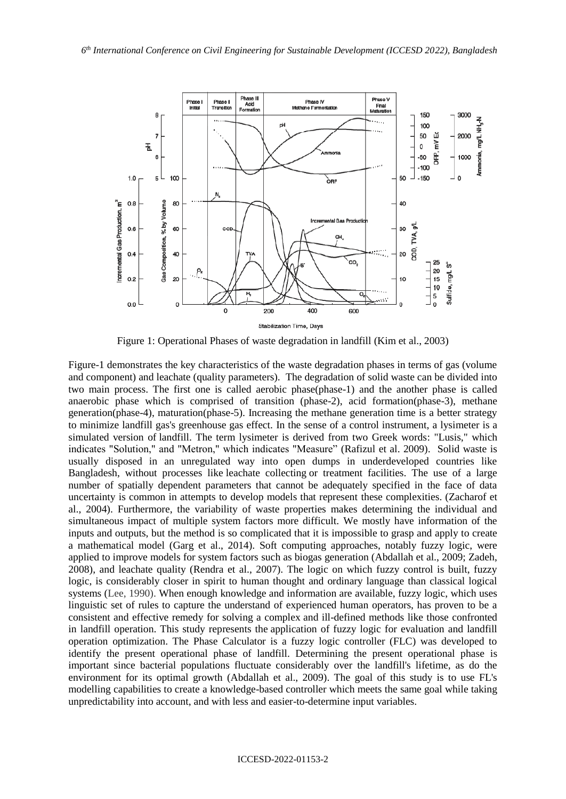

Figure 1: Operational Phases of waste degradation in landfill (Kim et al., 2003)

Figure-1 demonstrates the key characteristics of the waste degradation phases in terms of gas (volume and component) and leachate (quality parameters). The degradation of solid waste can be divided into two main process. The first one is called aerobic phase(phase-1) and the another phase is called anaerobic phase which is comprised of transition (phase-2), acid formation(phase-3), methane generation(phase-4), maturation(phase-5). Increasing the methane generation time is a better strategy to minimize landfill gas's greenhouse gas effect. In the sense of a control instrument, a lysimeter is a simulated version of landfill. The term lysimeter is derived from two Greek words: "Lusis," which indicates "Solution," and "Metron," which indicates "Measure" (Rafizul et al. 2009). Solid waste is usually disposed in an unregulated way into open dumps in underdeveloped countries like Bangladesh, without processes like leachate collecting or treatment facilities. The use of a large number of spatially dependent parameters that cannot be adequately specified in the face of data uncertainty is common in attempts to develop models that represent these complexities. (Zacharof et al., 2004). Furthermore, the variability of waste properties makes determining the individual and simultaneous impact of multiple system factors more difficult. We mostly have information of the inputs and outputs, but the method is so complicated that it is impossible to grasp and apply to create a mathematical model (Garg et al., 2014). Soft computing approaches, notably fuzzy logic, were applied to improve models for system factors such as biogas generation (Abdallah et al., 2009; Zadeh, 2008), and leachate quality (Rendra et al., 2007). The logic on which fuzzy control is built, fuzzy logic, is considerably closer in spirit to human thought and ordinary language than classical logical systems (Lee, 1990). When enough knowledge and information are available, fuzzy logic, which uses linguistic set of rules to capture the understand of experienced human operators, has proven to be a consistent and effective remedy for solving a complex and ill-defined methods like those confronted in landfill operation. This study represents the application of fuzzy logic for evaluation and landfill operation optimization. The Phase Calculator is a fuzzy logic controller (FLC) was developed to identify the present operational phase of landfill. Determining the present operational phase is important since bacterial populations fluctuate considerably over the landfill's lifetime, as do the environment for its optimal growth (Abdallah et al., 2009). The goal of this study is to use FL's modelling capabilities to create a knowledge-based controller which meets the same goal while taking unpredictability into account, and with less and easier-to-determine input variables.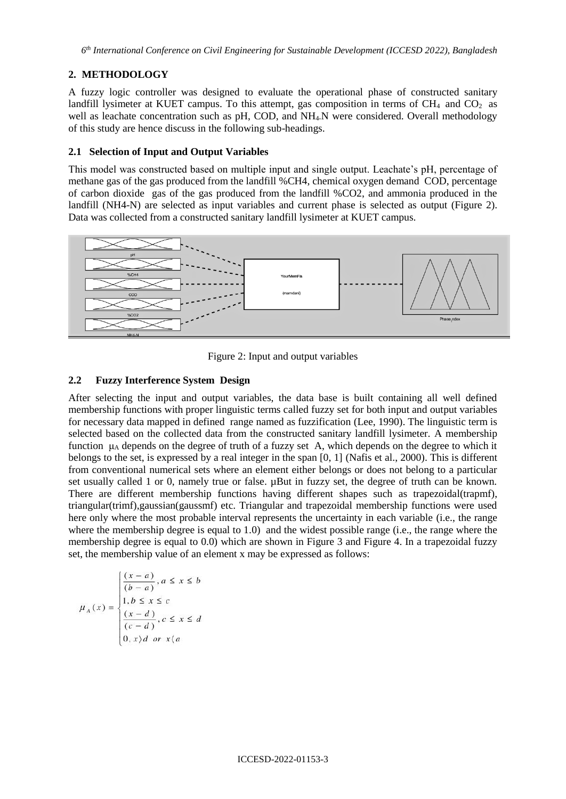*6 th International Conference on Civil Engineering for Sustainable Development (ICCESD 2022), Bangladesh*

## **2. METHODOLOGY**

A fuzzy logic controller was designed to evaluate the operational phase of constructed sanitary landfill lysimeter at KUET campus. To this attempt, gas composition in terms of  $CH<sub>4</sub>$  and  $CO<sub>2</sub>$  as well as leachate concentration such as pH, COD, and NH<sub>4</sub>-N were considered. Overall methodology of this study are hence discuss in the following sub-headings.

## **2.1 Selection of Input and Output Variables**

This model was constructed based on multiple input and single output. Leachate's pH, percentage of methane gas of the gas produced from the landfill %CH4, chemical oxygen demand COD, percentage of carbon dioxide gas of the gas produced from the landfill %CO2, and ammonia produced in the landfill (NH4-N) are selected as input variables and current phase is selected as output (Figure 2). Data was collected from a constructed sanitary landfill lysimeter at KUET campus.



Figure 2: Input and output variables

## **2.2 Fuzzy Interference System Design**

After selecting the input and output variables, the data base is built containing all well defined membership functions with proper linguistic terms called fuzzy set for both input and output variables for necessary data mapped in defined range named as fuzzification (Lee, 1990). The linguistic term is selected based on the collected data from the constructed sanitary landfill lysimeter. A membership function μ<sup>A</sup> depends on the degree of truth of a fuzzy set A, which depends on the degree to which it belongs to the set, is expressed by a real integer in the span [0, 1] (Nafis et al., 2000). This is different from conventional numerical sets where an element either belongs or does not belong to a particular set usually called 1 or 0, namely true or false. µBut in fuzzy set, the degree of truth can be known. There are different membership functions having different shapes such as trapezoidal(trapmf), triangular(trimf),gaussian(gaussmf) etc. Triangular and trapezoidal membership functions were used here only where the most probable interval represents the uncertainty in each variable (i.e., the range where the membership degree is equal to 1.0) and the widest possible range (i.e., the range where the membership degree is equal to 0.0) which are shown in Figure 3 and Figure 4. In a trapezoidal fuzzy set, the membership value of an element x may be expressed as follows:

$$
\mu_A(x) = \begin{cases}\n\frac{(x-a)}{(b-a)}, a \le x \le b \\
1, b \le x \le c \\
\frac{(x-d)}{(c-d)}, c \le x \le d \\
0, x \ge d \text{ or } x \ge d\n\end{cases}
$$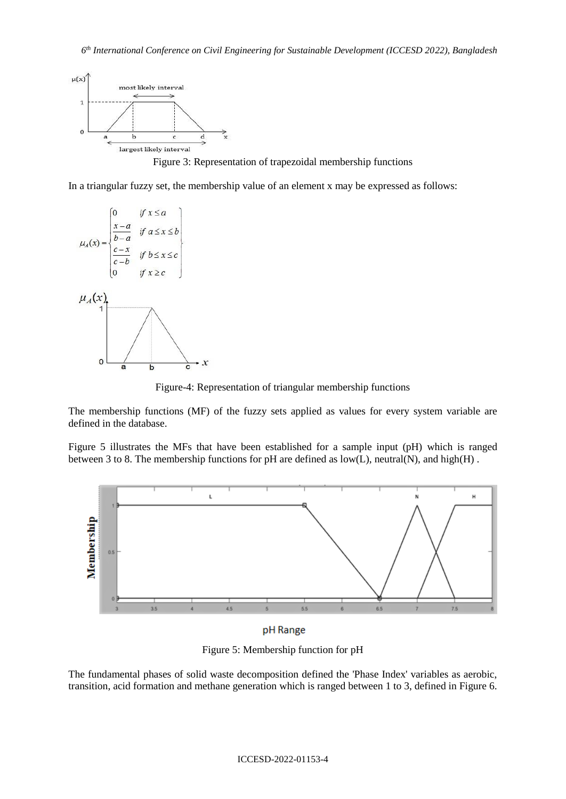

Figure 3: Representation of trapezoidal membership functions

In a triangular fuzzy set, the membership value of an element x may be expressed as follows:



Figure-4: Representation of triangular membership functions

The membership functions (MF) of the fuzzy sets applied as values for every system variable are defined in the database.

Figure 5 illustrates the MFs that have been established for a sample input (pH) which is ranged between 3 to 8. The membership functions for pH are defined as low(L), neutral(N), and high(H) .



pH Range

Figure 5: Membership function for pH

The fundamental phases of solid waste decomposition defined the 'Phase Index' variables as aerobic, transition, acid formation and methane generation which is ranged between 1 to 3, defined in Figure 6.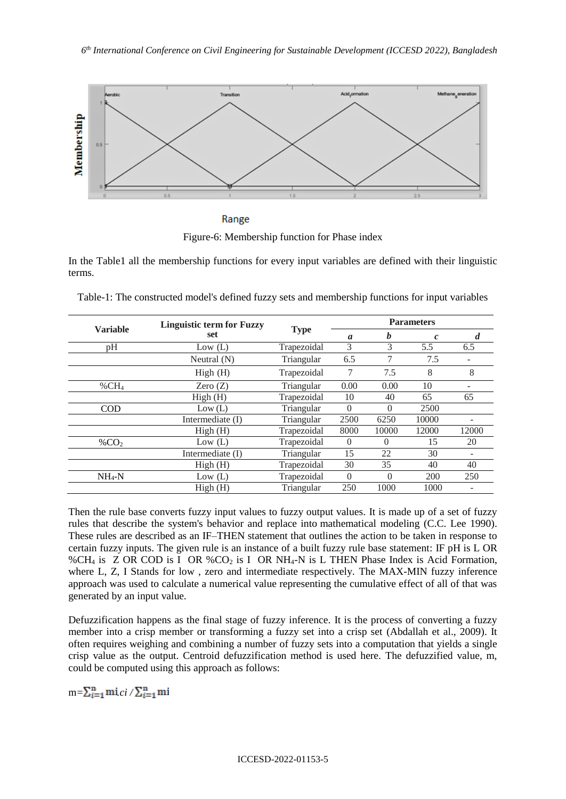

Range Figure-6: Membership function for Phase index

In the Table1 all the membership functions for every input variables are defined with their linguistic terms.

| <b>Variable</b>      | <b>Linguistic term for Fuzzy</b><br>set | <b>Type</b> | <b>Parameters</b> |          |                   |       |
|----------------------|-----------------------------------------|-------------|-------------------|----------|-------------------|-------|
|                      |                                         |             | $\boldsymbol{a}$  | b        | $\mathcal{C}_{0}$ | d     |
| pH                   | Low $(L)$                               | Trapezoidal | 3                 | 3        | 5.5               | 6.5   |
|                      | Neutral $(N)$                           | Triangular  | 6.5               | 7        | 7.5               |       |
|                      | High(H)                                 | Trapezoidal | 7                 | 7.5      | 8                 | 8     |
| $\%$ CH <sub>4</sub> | Zero $(Z)$                              | Triangular  | 0.00              | 0.00     | 10                |       |
|                      | High(H)                                 | Trapezoidal | 10                | 40       | 65                | 65    |
| <b>COD</b>           | Low (L)                                 | Triangular  | 0                 | $\theta$ | 2500              |       |
|                      | Intermediate (I)                        | Triangular  | 2500              | 6250     | 10000             |       |
|                      | High(H)                                 | Trapezoidal | 8000              | 10000    | 12000             | 12000 |
| % $CO2$              | Low $(L)$                               | Trapezoidal | $\Omega$          | $\Omega$ | 15                | 20    |
|                      | Intermediate (I)                        | Triangular  | 15                | 22       | 30                |       |
|                      | High(H)                                 | Trapezoidal | 30                | 35       | 40                | 40    |
| $NH_4-N$             | Low $(L)$                               | Trapezoidal | $\Omega$          | $\Omega$ | 200               | 250   |
|                      | High(H)                                 | Triangular  | 250               | 1000     | 1000              |       |

Table-1: The constructed model's defined fuzzy sets and membership functions for input variables

Then the rule base converts fuzzy input values to fuzzy output values. It is made up of a set of fuzzy rules that describe the system's behavior and replace into mathematical modeling (C.C. Lee 1990). These rules are described as an IF–THEN statement that outlines the action to be taken in response to certain fuzzy inputs. The given rule is an instance of a built fuzzy rule base statement: IF pH is L OR %CH<sup>4</sup> is Z OR COD is I OR %CO<sup>2</sup> is I OR NH4-N is L THEN Phase Index is Acid Formation, where L, Z, I Stands for low, zero and intermediate respectively. The MAX-MIN fuzzy inference approach was used to calculate a numerical value representing the cumulative effect of all of that was generated by an input value.

Defuzzification happens as the final stage of fuzzy inference. It is the process of converting a fuzzy member into a crisp member or transforming a fuzzy set into a crisp set (Abdallah et al., 2009). It often requires weighing and combining a number of fuzzy sets into a computation that yields a single crisp value as the output. Centroid defuzzification method is used here. The defuzzified value, m, could be computed using this approach as follows:

 $m=\sum_{i=1}^n m i_i c i / \sum_{i=1}^n m i$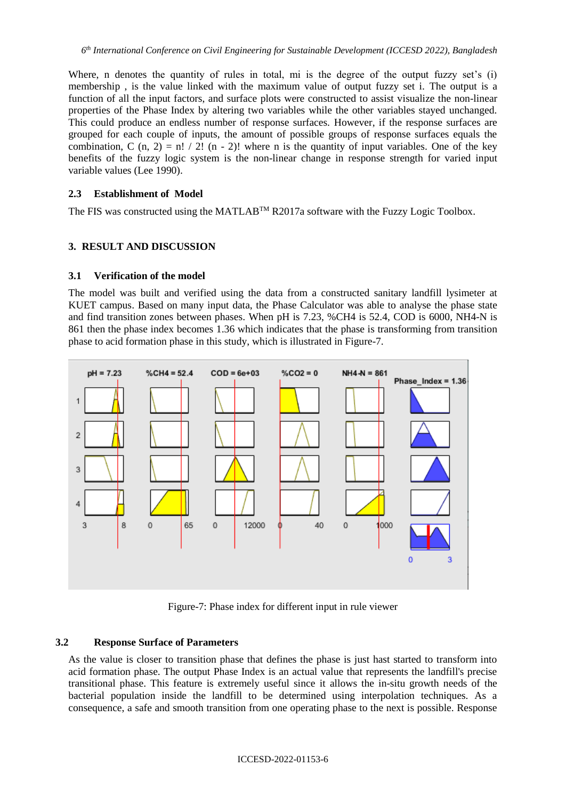Where, n denotes the quantity of rules in total, mi is the degree of the output fuzzy set's (i) membership , is the value linked with the maximum value of output fuzzy set i. The output is a function of all the input factors, and surface plots were constructed to assist visualize the non-linear properties of the Phase Index by altering two variables while the other variables stayed unchanged. This could produce an endless number of response surfaces. However, if the response surfaces are grouped for each couple of inputs, the amount of possible groups of response surfaces equals the combination, C  $(n, 2) = n! / 2! (n - 2)!$  where n is the quantity of input variables. One of the key benefits of the fuzzy logic system is the non-linear change in response strength for varied input variable values (Lee 1990).

### **2.3 Establishment of Model**

The FIS was constructed using the MATLAB<sup>™</sup> R2017a software with the Fuzzy Logic Toolbox.

## **3. RESULT AND DISCUSSION**

#### **3.1 Verification of the model**

The model was built and verified using the data from a constructed sanitary landfill lysimeter at KUET campus. Based on many input data, the Phase Calculator was able to analyse the phase state and find transition zones between phases. When pH is 7.23, %CH4 is 52.4, COD is 6000, NH4-N is 861 then the phase index becomes 1.36 which indicates that the phase is transforming from transition phase to acid formation phase in this study, which is illustrated in Figure-7.



Figure-7: Phase index for different input in rule viewer

#### **3.2 Response Surface of Parameters**

As the value is closer to transition phase that defines the phase is just hast started to transform into acid formation phase. The output Phase Index is an actual value that represents the landfill's precise transitional phase. This feature is extremely useful since it allows the in-situ growth needs of the bacterial population inside the landfill to be determined using interpolation techniques. As a consequence, a safe and smooth transition from one operating phase to the next is possible. Response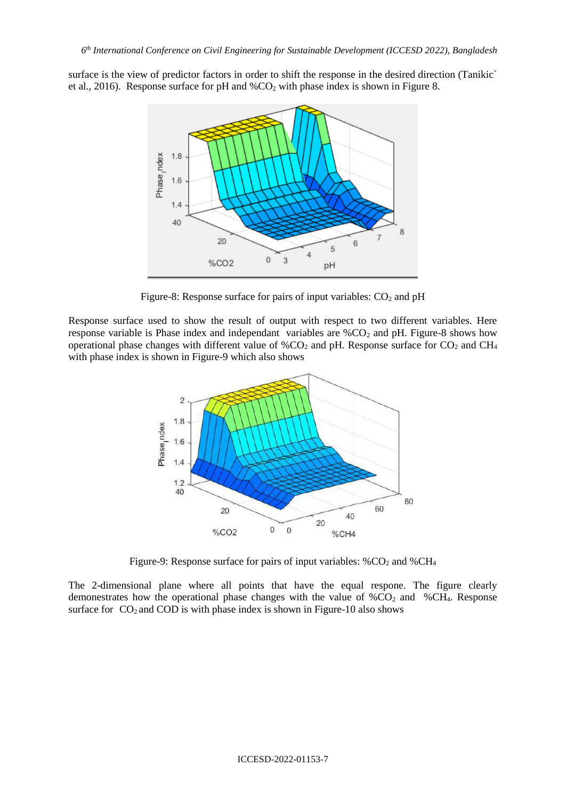surface is the view of predictor factors in order to shift the response in the desired direction (Tanikic` et al., 2016). Response surface for pH and  $\%CO_2$  with phase index is shown in Figure 8.



Figure-8: Response surface for pairs of input variables:  $CO<sub>2</sub>$  and pH

Response surface used to show the result of output with respect to two different variables. Here response variable is Phase index and independant variables are  $\%CO_2$  and pH. Figure-8 shows how operational phase changes with different value of  $\%CO_2$  and pH. Response surface for  $CO_2$  and CH<sub>4</sub> with phase index is shown in Figure-9 which also shows



Figure-9: Response surface for pairs of input variables:  $%CO<sub>2</sub>$  and  $%CH<sub>4</sub>$ 

The 2-dimensional plane where all points that have the equal respone. The figure clearly demonestrates how the operational phase changes with the value of  $%CO<sub>2</sub>$  and  $%CH<sub>4</sub>$ . Response surface for  $CO<sub>2</sub>$  and COD is with phase index is shown in Figure-10 also shows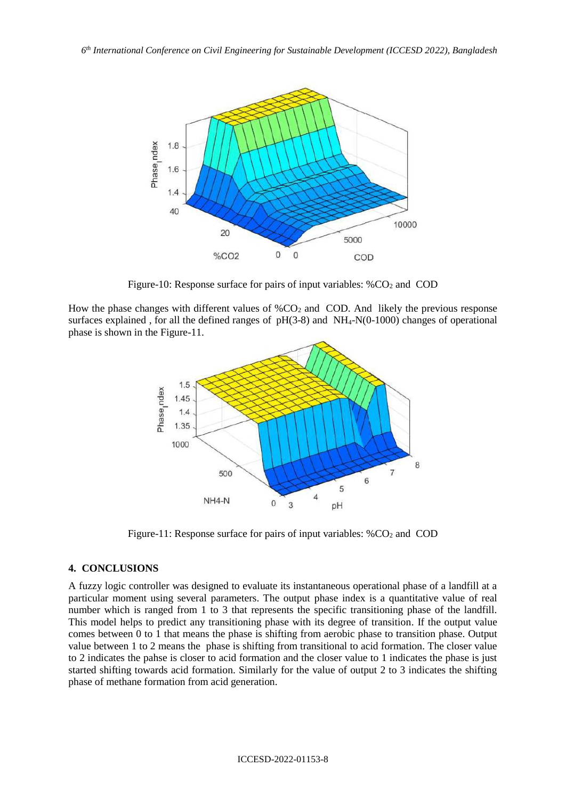

Figure-10: Response surface for pairs of input variables:  $% CO<sub>2</sub>$  and COD

How the phase changes with different values of  $\%CO_2$  and COD. And likely the previous response surfaces explained, for all the defined ranges of  $pH(3-8)$  and  $NH<sub>4</sub>-N(0-1000)$  changes of operational phase is shown in the Figure-11.



Figure-11: Response surface for pairs of input variables:  $%CO<sub>2</sub>$  and COD

## **4. CONCLUSIONS**

A fuzzy logic controller was designed to evaluate its instantaneous operational phase of a landfill at a particular moment using several parameters. The output phase index is a quantitative value of real number which is ranged from 1 to 3 that represents the specific transitioning phase of the landfill. This model helps to predict any transitioning phase with its degree of transition. If the output value comes between 0 to 1 that means the phase is shifting from aerobic phase to transition phase. Output value between 1 to 2 means the phase is shifting from transitional to acid formation. The closer value to 2 indicates the pahse is closer to acid formation and the closer value to 1 indicates the phase is just started shifting towards acid formation. Similarly for the value of output 2 to 3 indicates the shifting phase of methane formation from acid generation.